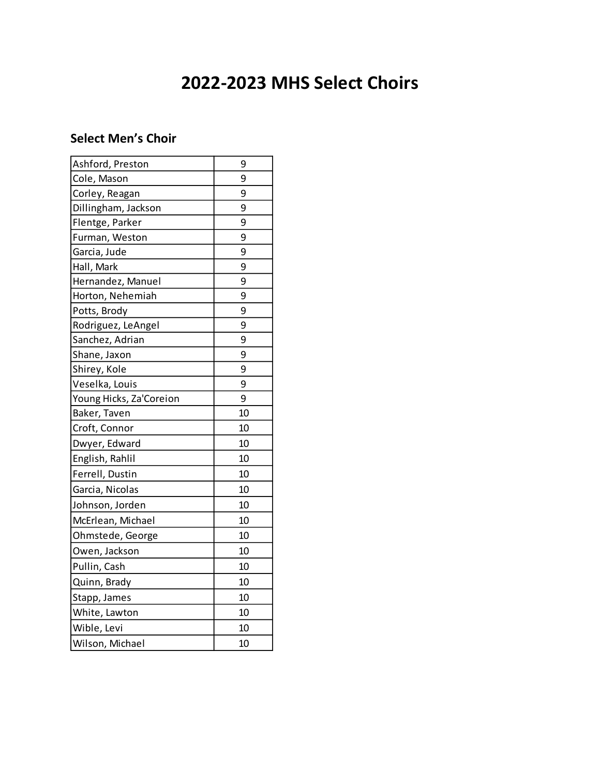# **2022-2023 MHS Select Choirs**

#### **Select Men's Choir**

| Ashford, Preston        | 9  |
|-------------------------|----|
| Cole, Mason             | 9  |
| Corley, Reagan          | 9  |
| Dillingham, Jackson     | 9  |
| Flentge, Parker         | 9  |
| Furman, Weston          | 9  |
| Garcia, Jude            | 9  |
| Hall, Mark              | 9  |
| Hernandez, Manuel       | 9  |
| Horton, Nehemiah        | 9  |
| Potts, Brody            | 9  |
| Rodriguez, LeAngel      | 9  |
| Sanchez, Adrian         | 9  |
| Shane, Jaxon            | 9  |
| Shirey, Kole            | 9  |
| Veselka, Louis          | 9  |
| Young Hicks, Za'Coreion | 9  |
| Baker, Taven            | 10 |
| Croft, Connor           | 10 |
| Dwyer, Edward           | 10 |
| English, Rahlil         | 10 |
| Ferrell, Dustin         | 10 |
| Garcia, Nicolas         | 10 |
| Johnson, Jorden         | 10 |
| McErlean, Michael       | 10 |
| Ohmstede, George        | 10 |
| Owen, Jackson           | 10 |
| Pullin, Cash            | 10 |
| Quinn, Brady            | 10 |
| Stapp, James            | 10 |
| White, Lawton           | 10 |
| Wible, Levi             | 10 |
| Wilson, Michael         | 10 |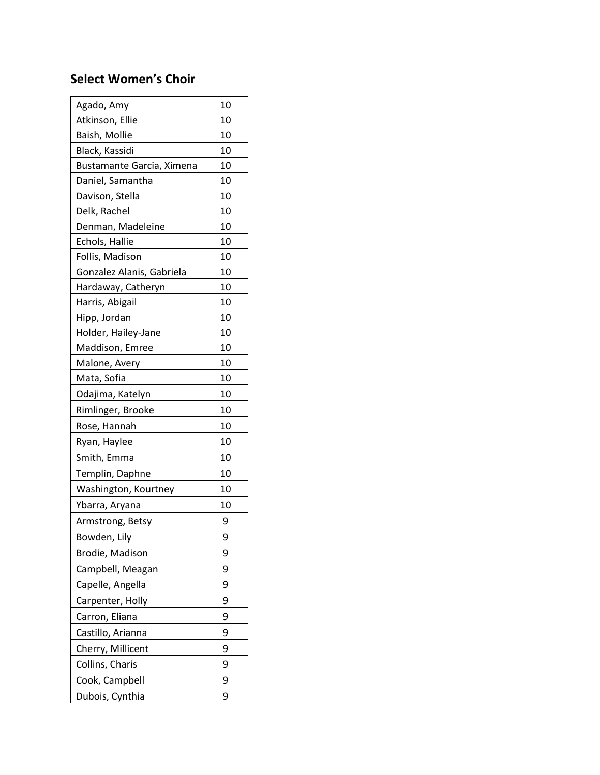#### **Select Women's Choir**

| Agado, Amy                | 10 |
|---------------------------|----|
| Atkinson, Ellie           | 10 |
| Baish, Mollie             | 10 |
| Black, Kassidi            | 10 |
| Bustamante Garcia, Ximena | 10 |
| Daniel, Samantha          | 10 |
| Davison, Stella           | 10 |
| Delk, Rachel              | 10 |
| Denman, Madeleine         | 10 |
| Echols, Hallie            | 10 |
| Follis, Madison           | 10 |
| Gonzalez Alanis, Gabriela | 10 |
| Hardaway, Catheryn        | 10 |
| Harris, Abigail           | 10 |
| Hipp, Jordan              | 10 |
| Holder, Hailey-Jane       | 10 |
| Maddison, Emree           | 10 |
| Malone, Avery             | 10 |
| Mata, Sofia               | 10 |
| Odajima, Katelyn          | 10 |
| Rimlinger, Brooke         | 10 |
| Rose, Hannah              | 10 |
| Ryan, Haylee              | 10 |
| Smith, Emma               | 10 |
| Templin, Daphne           | 10 |
| Washington, Kourtney      | 10 |
| Ybarra, Aryana            | 10 |
| Armstrong, Betsy          | 9  |
| Bowden, Lily              | 9  |
| Brodie, Madison           | 9  |
| Campbell, Meagan          | 9  |
| Capelle, Angella          | 9  |
| Carpenter, Holly          | 9  |
| Carron, Eliana            | 9  |
| Castillo, Arianna         | 9  |
| Cherry, Millicent         | 9  |
| Collins, Charis           | 9  |
| Cook, Campbell            | 9  |
| Dubois, Cynthia           | 9  |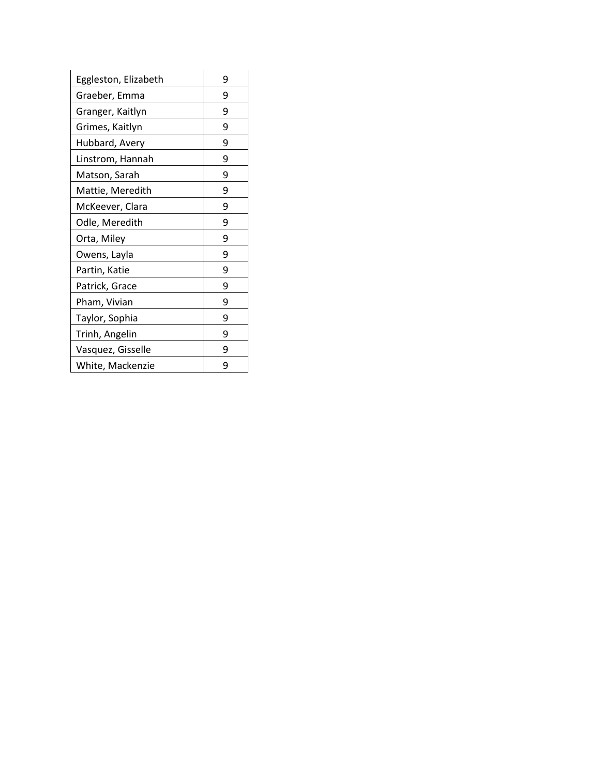| Eggleston, Elizabeth | 9 |
|----------------------|---|
| Graeber, Emma        | 9 |
| Granger, Kaitlyn     | 9 |
| Grimes, Kaitlyn      | 9 |
| Hubbard, Avery       | 9 |
| Linstrom, Hannah     | 9 |
| Matson, Sarah        | 9 |
| Mattie, Meredith     | 9 |
| McKeever, Clara      | 9 |
| Odle, Meredith       | 9 |
| Orta, Miley          | 9 |
| Owens, Layla         | 9 |
| Partin, Katie        | 9 |
| Patrick, Grace       | 9 |
| Pham, Vivian         | 9 |
| Taylor, Sophia       | 9 |
| Trinh, Angelin       | 9 |
| Vasquez, Gisselle    | 9 |
| White, Mackenzie     | 9 |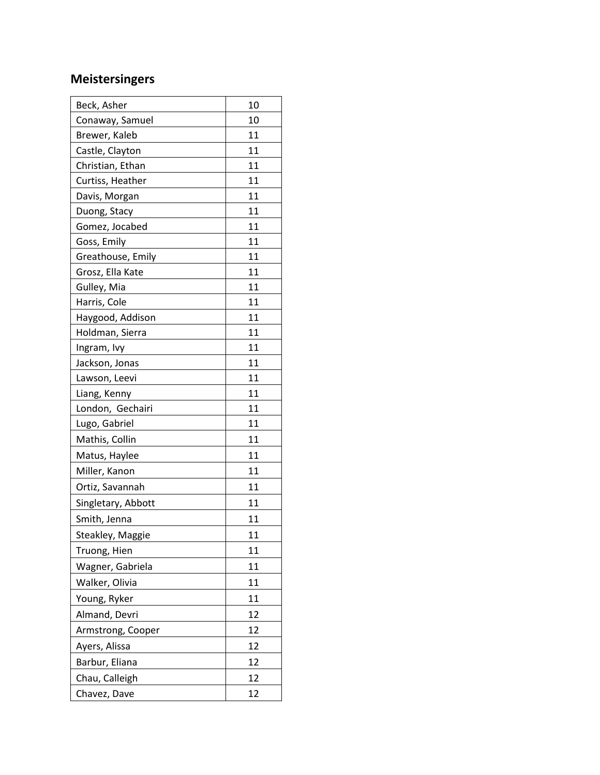### **Meistersingers**

| Beck, Asher        | 10 |
|--------------------|----|
| Conaway, Samuel    | 10 |
| Brewer, Kaleb      | 11 |
| Castle, Clayton    | 11 |
| Christian, Ethan   | 11 |
| Curtiss, Heather   | 11 |
| Davis, Morgan      | 11 |
| Duong, Stacy       | 11 |
| Gomez, Jocabed     | 11 |
| Goss, Emily        | 11 |
| Greathouse, Emily  | 11 |
| Grosz, Ella Kate   | 11 |
| Gulley, Mia        | 11 |
| Harris, Cole       | 11 |
| Haygood, Addison   | 11 |
| Holdman, Sierra    | 11 |
| Ingram, Ivy        | 11 |
| Jackson, Jonas     | 11 |
| Lawson, Leevi      | 11 |
| Liang, Kenny       | 11 |
| London, Gechairi   | 11 |
| Lugo, Gabriel      | 11 |
| Mathis, Collin     | 11 |
| Matus, Haylee      | 11 |
| Miller, Kanon      | 11 |
| Ortiz, Savannah    | 11 |
| Singletary, Abbott | 11 |
| Smith, Jenna       | 11 |
| Steakley, Maggie   | 11 |
| Truong, Hien       | 11 |
| Wagner, Gabriela   | 11 |
| Walker, Olivia     | 11 |
| Young, Ryker       | 11 |
| Almand, Devri      | 12 |
| Armstrong, Cooper  | 12 |
| Ayers, Alissa      | 12 |
| Barbur, Eliana     | 12 |
| Chau, Calleigh     | 12 |
| Chavez, Dave       | 12 |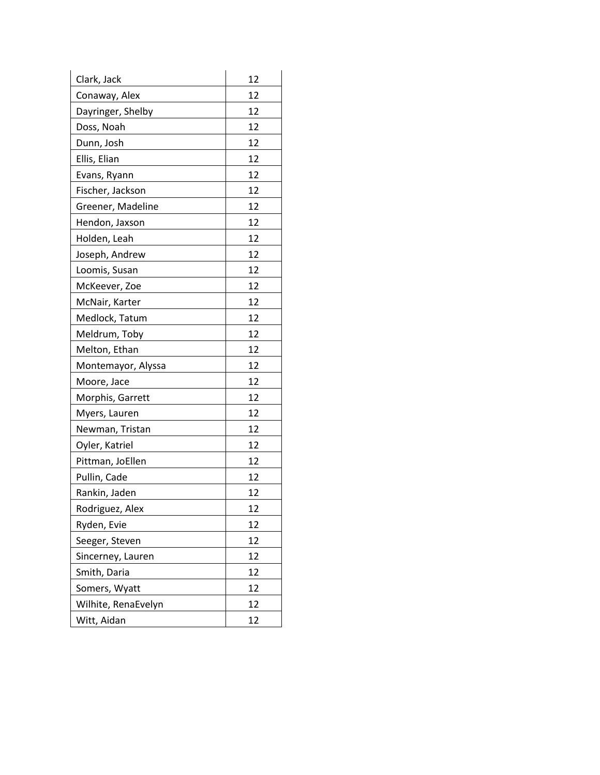| Clark, Jack         | 12 |
|---------------------|----|
| Conaway, Alex       | 12 |
| Dayringer, Shelby   | 12 |
| Doss, Noah          | 12 |
| Dunn, Josh          | 12 |
| Ellis, Elian        | 12 |
| Evans, Ryann        | 12 |
| Fischer, Jackson    | 12 |
| Greener, Madeline   | 12 |
| Hendon, Jaxson      | 12 |
| Holden, Leah        | 12 |
| Joseph, Andrew      | 12 |
| Loomis, Susan       | 12 |
| McKeever, Zoe       | 12 |
| McNair, Karter      | 12 |
| Medlock, Tatum      | 12 |
| Meldrum, Toby       | 12 |
| Melton, Ethan       | 12 |
| Montemayor, Alyssa  | 12 |
| Moore, Jace         | 12 |
| Morphis, Garrett    | 12 |
| Myers, Lauren       | 12 |
| Newman, Tristan     | 12 |
| Oyler, Katriel      | 12 |
| Pittman, JoEllen    | 12 |
| Pullin, Cade        | 12 |
| Rankin, Jaden       | 12 |
| Rodriguez, Alex     | 12 |
| Ryden, Evie         | 12 |
| Seeger, Steven      | 12 |
| Sincerney, Lauren   | 12 |
| Smith, Daria        | 12 |
| Somers, Wyatt       | 12 |
| Wilhite, RenaEvelyn | 12 |
| Witt, Aidan         | 12 |